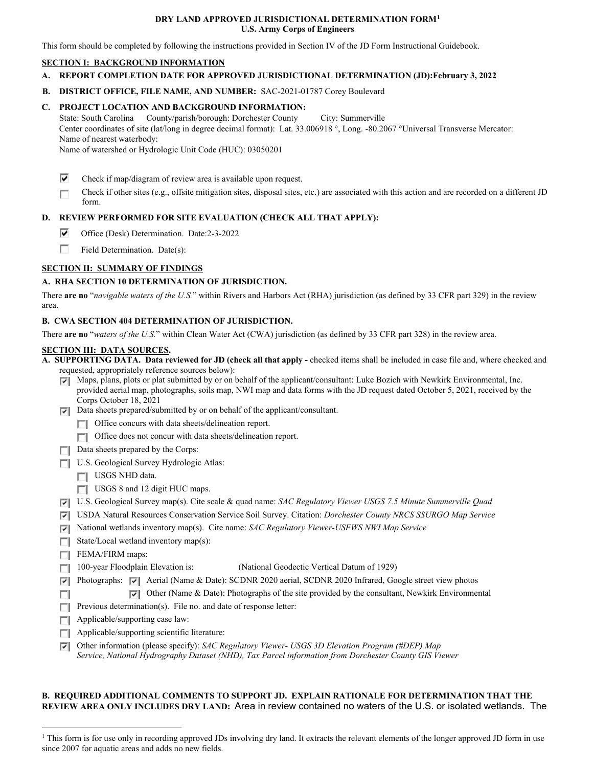### **DRY LAND APPROVED JURISDICTIONAL DETERMINATION FORM[1](#page-0-0) U.S. Army Corps of Engineers**

This form should be completed by following the instructions provided in Section IV of the JD Form Instructional Guidebook.

## **SECTION I: BACKGROUND INFORMATION**

- **A. REPORT COMPLETION DATE FOR APPROVED JURISDICTIONAL DETERMINATION (JD):February 3, 2022**
- **B. DISTRICT OFFICE, FILE NAME, AND NUMBER:** SAC-2021-01787 Corey Boulevard

# **C. PROJECT LOCATION AND BACKGROUND INFORMATION:**

State: South Carolina County/parish/borough: Dorchester County City: Summerville Center coordinates of site (lat/long in degree decimal format): Lat. 33.006918 °, Long. -80.2067 °Universal Transverse Mercator: Name of nearest waterbody:

Name of watershed or Hydrologic Unit Code (HUC): 03050201

- ⊽ Check if map/diagram of review area is available upon request.
- Check if other sites (e.g., offsite mitigation sites, disposal sites, etc.) are associated with this action and are recorded on a different JD г form.

# **D. REVIEW PERFORMED FOR SITE EVALUATION (CHECK ALL THAT APPLY):**

- ⊽ Office (Desk) Determination. Date:2-3-2022
- 55 Field Determination. Date(s):

# **SECTION II: SUMMARY OF FINDINGS**

# **A. RHA SECTION 10 DETERMINATION OF JURISDICTION.**

There **are no** "*navigable waters of the U.S.*" within Rivers and Harbors Act (RHA) jurisdiction (as defined by 33 CFR part 329) in the review area.

## **B. CWA SECTION 404 DETERMINATION OF JURISDICTION.**

There **are no** "*waters of the U.S.*" within Clean Water Act (CWA) jurisdiction (as defined by 33 CFR part 328) in the review area.

#### **SECTION III: DATA SOURCES.**

**A. SUPPORTING DATA. Data reviewed for JD (check all that apply -** checked items shall be included in case file and, where checked and requested, appropriately reference sources below):

- Maps, plans, plots or plat submitted by or on behalf of the applicant/consultant: Luke Bozich with Newkirk Environmental, Inc. provided aerial map, photographs, soils map, NWI map and data forms with the JD request dated October 5, 2021, received by the Corps October 18, 2021
- Data sheets prepared/submitted by or on behalf of the applicant/consultant.
	- Office concurs with data sheets/delineation report.
	- Office does not concur with data sheets/delineation report.
- $\Box$  Data sheets prepared by the Corps:
- U.S. Geological Survey Hydrologic Atlas:
	- USGS NHD data.
	- USGS 8 and 12 digit HUC maps.
- U.S. Geological Survey map(s). Cite scale & quad name: *SAC Regulatory Viewer USGS 7.5 Minute Summerville Quad*
- USDA Natural Resources Conservation Service Soil Survey. Citation: *Dorchester County NRCS SSURGO Map Service*
- National wetlands inventory map(s). Cite name: *SAC Regulatory Viewer-USFWS NWI Map Service*
- $\Box$  State/Local wetland inventory map(s):
- $\Box$  FEMA/FIRM maps:

 $\sim$ 

- 100-year Floodplain Elevation is:(National Geodectic Vertical Datum of 1929)
- Photographs: Aerial (Name & Date): SCDNR 2020 aerial, SCDNR 2020 Infrared, Google street view photos
	- Other (Name & Date): Photographs of the site provided by the consultant, Newkirk Environmental
- **Previous determination(s).** File no. and date of response letter:
- **Applicable/supporting case law:**
- **Applicable/supporting scientific literature:**
- Other information (please specify): *SAC Regulatory Viewer- USGS 3D Elevation Program (#DEP) Map Service, National Hydrography Dataset (NHD), Tax Parcel information from Dorchester County GIS Viewer*

## **B. REQUIRED ADDITIONAL COMMENTS TO SUPPORT JD. EXPLAIN RATIONALE FOR DETERMINATION THAT THE REVIEW AREA ONLY INCLUDES DRY LAND:** Area in review contained no waters of the U.S. or isolated wetlands. The

<span id="page-0-0"></span><sup>&</sup>lt;sup>1</sup> This form is for use only in recording approved JDs involving dry land. It extracts the relevant elements of the longer approved JD form in use since 2007 for aquatic areas and adds no new fields.